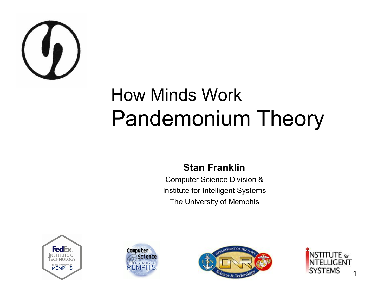

#### How Minds Work Pandemonium Theory

#### **Stan Franklin**

Computer Science Division & Institute for Intelligent Systems The University of Memphis







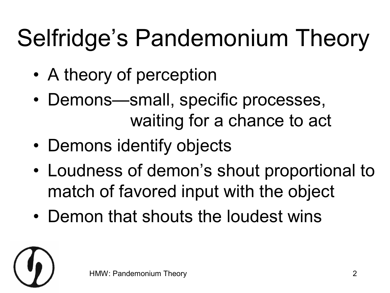# Selfridge's Pandemonium Theory

- A theory of perception
- Demons—small, specific processes, waiting for a chance to act
- Demons identify objects
- Loudness of demon's shout proportional to match of favored input with the object
- Demon that shouts the loudest wins

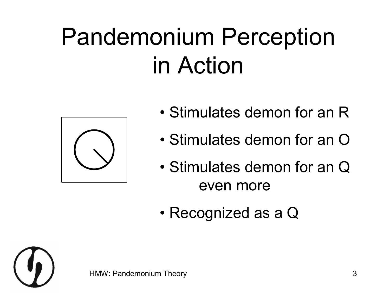## Pandemonium Perception in Action



- Stimulates demon for an R
- Stimulates demon for an O
- Stimulates demon for an Q even more
- Recognized as a Q

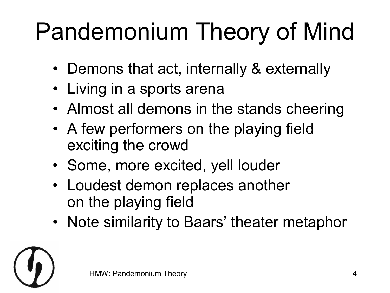# Pandemonium Theory of Mind

- Demons that act, internally & externally
- Living in a sports arena
- Almost all demons in the stands cheering
- A few performers on the playing field exciting the crowd
- Some, more excited, yell louder
- Loudest demon replaces another on the playing field
- Note similarity to Baars' theater metaphor

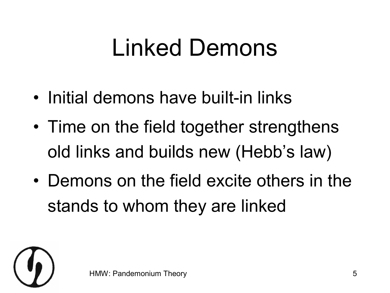#### Linked Demons

- Initial demons have built-in links
- Time on the field together strengthens old links and builds new (Hebb's law)
- Demons on the field excite others in the stands to whom they are linked

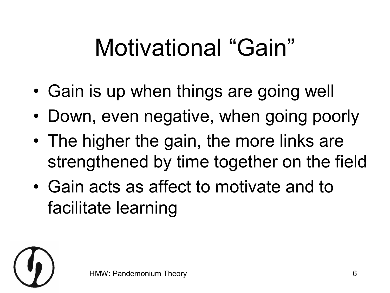## Motivational "Gain"

- Gain is up when things are going well
- Down, even negative, when going poorly
- The higher the gain, the more links are strengthened by time together on the field
- Gain acts as affect to motivate and to facilitate learning

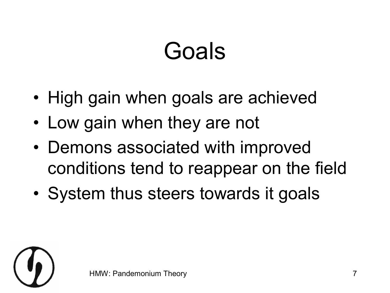#### Goals

- High gain when goals are achieved
- Low gain when they are not
- Demons associated with improved conditions tend to reappear on the field
- System thus steers towards it goals

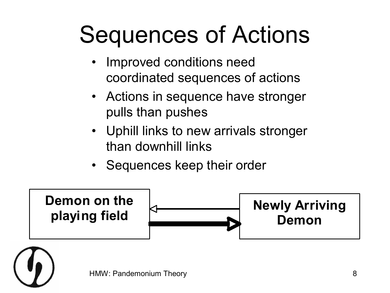#### Sequences of Actions

- Improved conditions need coordinated sequences of actions
- Actions in sequence have stronger pulls than pushes
- Uphill links to new arrivals stronger than downhill links
- Sequences keep their order



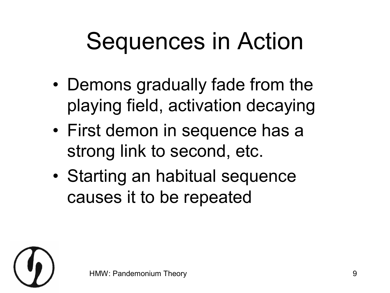### Sequences in Action

- Demons gradually fade from the playing field, activation decaying
- First demon in sequence has a strong link to second, etc.
- Starting an habitual sequence causes it to be repeated

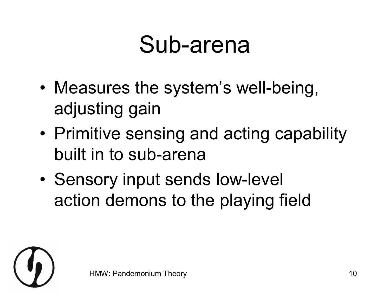#### Sub-arena

- Measures the system's well-being, adjusting gain
- Primitive sensing and acting capability built in to sub-arena
- Sensory input sends low-level action demons to the playing field

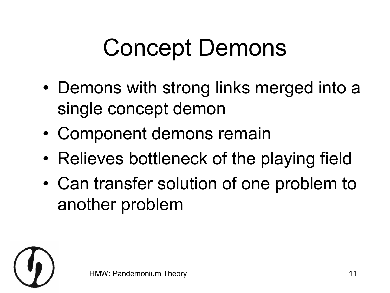## Concept Demons

- Demons with strong links merged into a single concept demon
- Component demons remain
- Relieves bottleneck of the playing field
- Can transfer solution of one problem to another problem

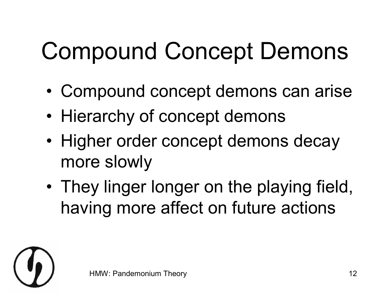# Compound Concept Demons

- Compound concept demons can arise
- Hierarchy of concept demons
- Higher order concept demons decay more slowly
- They linger longer on the playing field, having more affect on future actions

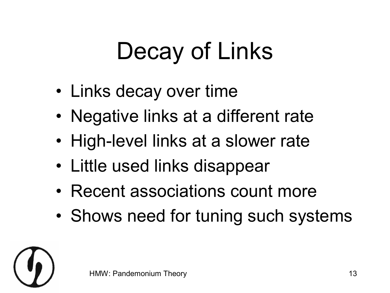# Decay of Links

- Links decay over time
- Negative links at a different rate
- High-level links at a slower rate
- Little used links disappear
- Recent associations count more
- Shows need for tuning such systems

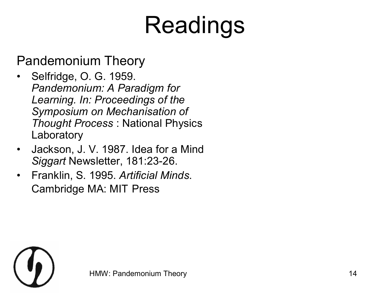## Readings

Pandemonium Theory

- Selfridge, O. G. 1959. *Pandemonium: A Paradigm for Learning. In: Proceedings of the Symposium on Mechanisation of Thought Process* : National Physics Laboratory
- Jackson, J. V. 1987. Idea for a Mind Siggart Newsletter, 181:23-26.
- Franklin, S. 1995. *Artificial Minds*. Cambridge MA: MIT Press